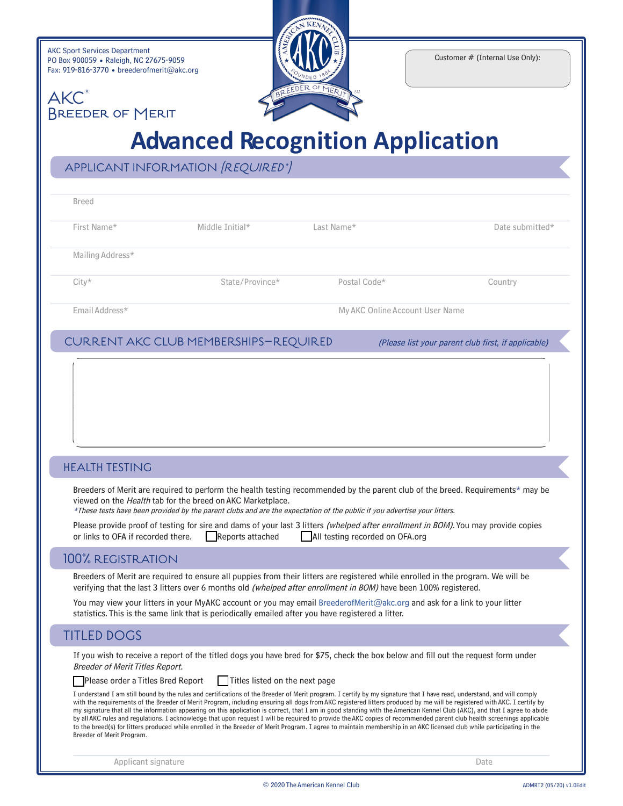| <b>AKC Sport Services Department</b>       |  |  |  |  |  |
|--------------------------------------------|--|--|--|--|--|
| PO Box 900059 • Raleigh, NC 27675-9059     |  |  |  |  |  |
| Fax: 919-816-3770 • breederofmerit@akc.org |  |  |  |  |  |

Breeder of Merit

**AKC** 



Customer # (Internal Use Only):

## **Advanced Recognition Application**

| APPLICANT INFORMATION (REQUIRED*) |  |
|-----------------------------------|--|
|-----------------------------------|--|

| <b>Breed</b>     |                 |                                 |                 |
|------------------|-----------------|---------------------------------|-----------------|
| First Name*      | Middle Initial* | Last Name*                      | Date submitted* |
| Mailing Address* |                 |                                 |                 |
| $City*$          | State/Province* | Postal Code*                    | Country         |
| Email Address*   |                 | My AKC Online Account User Name |                 |

#### CURRENT AKC CLUB MEMBERSHIPS–REQUIRED (Please list your parent club first, if applicable)

#### HEALTH TESTING

Breeders of Merit are required to perform the health testing recommended by the parent club of the breed. Requirements\* may be viewed on the Health tab for the breed on AKC Marketplace.

\*These tests have been provided by the parent clubs and are the expectation of the public if you advertise your litters.

|                                    |                  | Please provide proof of testing for sire and dams of your last 3 litters <i>(whelped after enrollment in BOM)</i> . You may provide copies |
|------------------------------------|------------------|--------------------------------------------------------------------------------------------------------------------------------------------|
| or links to OFA if recorded there. | Reports attached | All testing recorded on OFA.org                                                                                                            |

#### 100% REGISTRATION

Breeders of Merit are required to ensure all puppies from their litters are registered while enrolled in the program. We will be verifying that the last 3 litters over 6 months old (whelped after enrollment in BOM) have been 100% registered.

You may view your litters in your MyAKC account or you may email [BreederofMerit@akc.org](mailto:eventplans@akc.org) and ask for a link to your litter statistics. This is the same link that is periodically emailed after you have registered a litter.

### TITLED DOGS

If you wish to receive a report of the titled dogs you have bred for \$75, check the box below and fill out the request form under Breeder of Merit Titles Report.

 $\Box$ Please order a Titles Bred Report  $\Box$  Titles listed on the next page

I understand I am still bound by the rules and certifications of the Breeder of Merit program. I certify by my signature that I have read, understand, and will comply with the requirements of the Breeder of Merit Program, including ensuring all dogs from AKC registered litters produced by me will be registered with AKC. I certify by my signature that all the information appearing on this application is correct, that I am in good standing with the American Kennel Club (AKC), and that I agree to abide by all AKC rules and regulations. I acknowledge that upon request I will be required to provide the AKC copies of recommended parent club health screenings applicable to the breed(s) for litters produced while enrolled in the Breeder of Merit Program. I agree to maintain membership in an AKC licensed club while participating in the Breeder of Merit Program.

Applicant signature Date Date of the Date of the Date of the Date of the Date of the Date of the Date of the Date of the Date of the Date of the Date of the Date of the Date of the Date of the Date of the Date of the Date